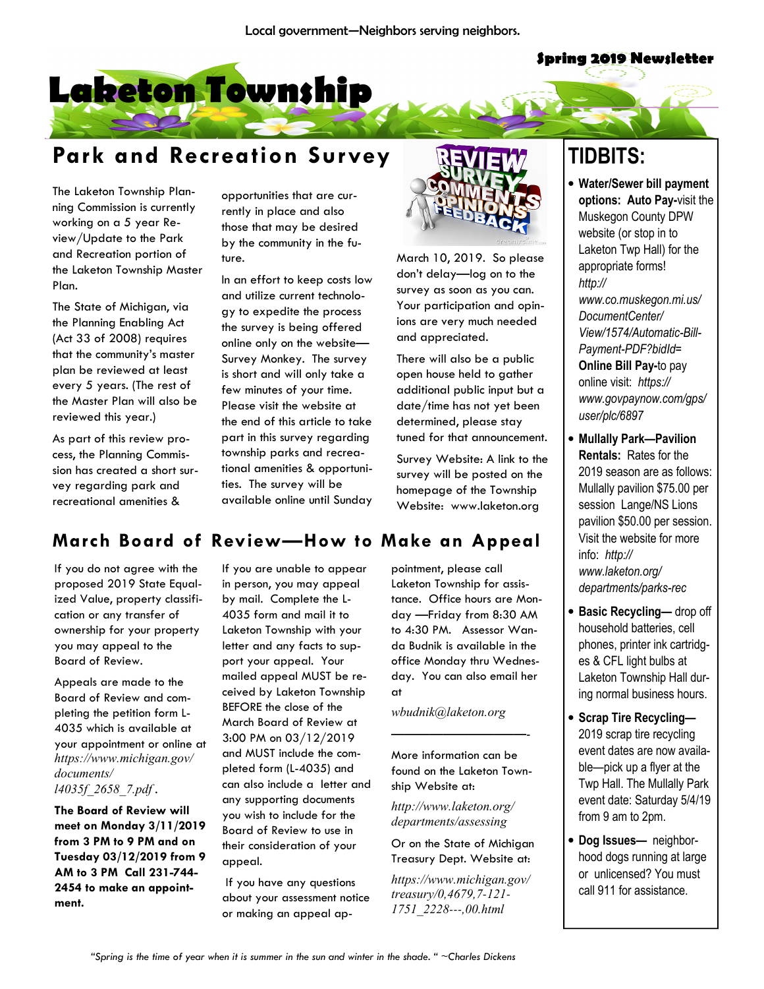#### **Spring 2019 Newsletter**



# Park and Recreation Survey

The Laketon Township Planning Commission is currently working on a 5 year Review/Update to the Park and Recreation portion of the Laketon Township Master Plan.

The State of Michigan, via the Planning Enabling Act (Act 33 of 2008) requires that the community's master plan be reviewed at least every 5 years. (The rest of the Master Plan will also be reviewed this year.)

As part of this review process, the Planning Commission has created a short survey regarding park and recreational amenities &

opportunities that are currently in place and also those that may be desired by the community in the future.

In an effort to keep costs low and utilize current technology to expedite the process the survey is being offered online only on the website— Survey Monkey. The survey is short and will only take a few minutes of your time. Please visit the website at the end of this article to take part in this survey regarding township parks and recreational amenities & opportunities. The survey will be available online until Sunday



March 10, 2019. So please don't delay—log on to the survey as soon as you can. Your participation and opinions are very much needed and appreciated.

There will also be a public open house held to gather additional public input but a date/time has not yet been determined, please stay tuned for that announcement.

Survey Website: A link to the survey will be posted on the homepage of the Township Website: www.laketon.org

# TIDBITS:

• Water/Sewer bill payment options: Auto Pay-visit the Muskegon County DPW website (or stop in to Laketon Twp Hall) for the appropriate forms! http:// www.co.muskegon.mi.us/ DocumentCenter/ View/1574/Automatic-Bill-Payment-PDF?bidId= Online Bill Pay-to pay online visit: https:// www.govpaynow.com/gps/ user/plc/6897

- Mullally Park—Pavilion Rentals: Rates for the 2019 season are as follows: Mullally pavilion \$75.00 per session Lange/NS Lions pavilion \$50.00 per session. Visit the website for more info: http:// www.laketon.org/ departments/parks-rec
- Basic Recycling— drop off household batteries, cell phones, printer ink cartridges & CFL light bulbs at Laketon Township Hall during normal business hours.
- Scrap Tire Recycling— 2019 scrap tire recycling event dates are now available—pick up a flyer at the Twp Hall. The Mullally Park event date: Saturday 5/4/19 from 9 am to 2pm.
- Dog Issues— neighborhood dogs running at large or unlicensed? You must call 911 for assistance.

## March Board of Review—How to Make an Appeal

If you do not agree with the proposed 2019 State Equalized Value, property classification or any transfer of ownership for your property you may appeal to the Board of Review.

Appeals are made to the Board of Review and completing the petition form L-4035 which is available at your appointment or online at https://www.michigan.gov/ documents/ l4035f\_2658\_7.pdf .

The Board of Review will meet on Monday 3/11/2019 from 3 PM to 9 PM and on Tuesday 03/12/2019 from 9 AM to 3 PM Call 231-744- 2454 to make an appointment.

If you are unable to appear in person, you may appeal by mail. Complete the L-4035 form and mail it to Laketon Township with your letter and any facts to support your appeal. Your mailed appeal MUST be received by Laketon Township BEFORE the close of the March Board of Review at 3:00 PM on 03/12/2019 and MUST include the completed form (L-4035) and can also include a letter and any supporting documents you wish to include for the Board of Review to use in their consideration of your appeal.

 If you have any questions about your assessment notice or making an appeal ap-

pointment, please call Laketon Township for assistance. Office hours are Monday —Friday from 8:30 AM to 4:30 PM. Assessor Wanda Budnik is available in the office Monday thru Wednesday. You can also email her at

wbudnik@laketon.org

More information can be found on the Laketon Township Website at:

————————–——-

http://www.laketon.org/ departments/assessing

Or on the State of Michigan Treasury Dept. Website at:

https://www.michigan.gov/ treasury/0,4679,7*-*121*-* 1751\_2228*---*,00.html